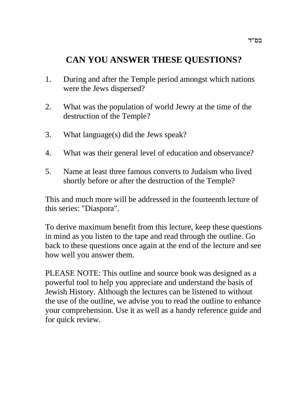# **CAN YOU ANSWER THESE QUESTIONS?**

- 1. During and after the Temple period amongst which nations were the Jews dispersed?
- 2. What was the population of world Jewry at the time of the destruction of the Temple?
- 3. What language(s) did the Jews speak?
- 4. What was their general level of education and observance?
- 5. Name at least three famous converts to Judaism who lived shortly before or after the destruction of the Temple?

This and much more will be addressed in the fourteenth lecture of this series: "Diaspora".

To derive maximum benefit from this lecture, keep these questions in mind as you listen to the tape and read through the outline. Go back to these questions once again at the end of the lecture and see how well you answer them.

PLEASE NOTE: This outline and source book was designed as a powerful tool to help you appreciate and understand the basis of Jewish History. Although the lectures can be listened to without the use of the outline, we advise you to read the outline to enhance your comprehension. Use it as well as a handy reference guide and for quick review.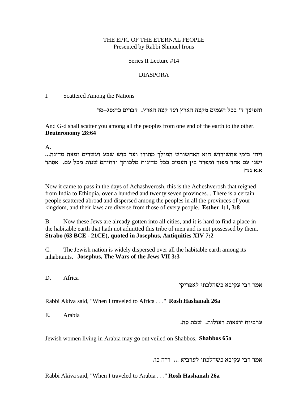### THE EPIC OF THE ETERNAL PEOPLE Presented by Rabbi Shmuel Irons

### Series II Lecture #14

### DIASPORA

I. Scattered Among the Nations

והפיצך ד' בכל העמים מקצה הארץ ועד קצה הארץ. דברים כח:סג–סד

And G-d shall scatter you among all the peoples from one end of the earth to the other. **Deuteronomy 28:64**

A.

...מדי בימי אחשורוש הוא האחשורש המולך מהודו ועד כוש שבע ועשרים ומאה מדינה ישנו עם אחד מפזר ומפרד בין העמים בכל מדינות מלכותך ודתיהם שנות מכל עם. אסתר  $\Pi: \lambda$  א $\Omega$ 

Now it came to pass in the days of Achashverosh, this is the Acheshverosh that reigned from India to Ethiopia, over a hundred and twenty seven provinces... There is a certain people scattered abroad and dispersed among the peoples in all the provinces of your kingdom, and their laws are diverse from those of every people. **Esther 1:1, 3:8**

B. Now these Jews are already gotten into all cities, and it is hard to find a place in the habitable earth that hath not admitted this tribe of men and is not possessed by them. **Strabo (63 BCE - 21CE), quoted in Josephus, Antiquities XIV 7:2**

C. The Jewish nation is widely dispersed over all the habitable earth among its inhabitants. **Josephus, The Wars of the Jews VII 3:3**

D. Africa

אמר רבי עקיבא כשהלכתי לאפריקי

Rabbi Akiva said, "When I traveled to Africa . . ." **Rosh Hashanah 26a**

E. Arabia

. ערביות יוצאות רעולות.  $\ddot{\text{w}}$ בת סה

Jewish women living in Arabia may go out veiled on Shabbos. **Shabbos 65a**

.אמר רבי עקיבא כשהלכתי לערביא ... ר"ה כו

Rabbi Akiva said, "When I traveled to Arabia . . ." **Rosh Hashanah 26a**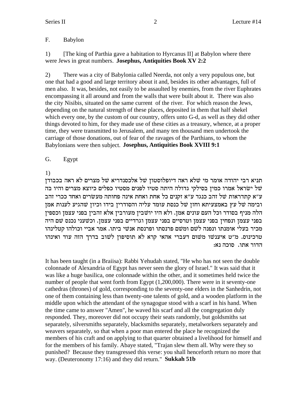#### F. Babylon

 $1)$ [The king of Parthia gave a habitation to Hyrcanus II] at Babylon where there were Jews in great numbers. Josephus, Antiquities Book XV 2:2

 $(2)$ There was a city of Babylonia called Neerda, not only a very populous one, but one that had a good and large territory about it and, besides its other advantages, full of men also. It was, besides, not easily to be assaulted by enemies, from the river Euphrates encompassing it all around and from the walls that were built about it. There was also the city Nisibis, situated on the same current of the river. For which reason the Jews, depending on the natural strength of these places, deposited in them that half shekel which every one, by the custom of our country, offers unto G-d, as well as they did other things devoted to him, for they made use of these cities as a treasury, whence, at a proper time, they were transmitted to Jerusalem, and many ten thousand men undertook the carriage of those donations, out of fear of the ravages of the Parthians, to whom the Babylonians were then subject. Josephus, Antiquities Book XVIII 9:1

#### G. Egypt

1)

תניא רבי יהודה אומר מי שלא ראה דיופלוסטון של אלכסנדריא של מצרים לא ראה בכבודן של ישראל אמרו כמיז בסילקי גדולה היתה סטיו לפנים מסטיו כפלים כיוצא מצרים והיו בה ע״א קתדראות של זהב כנגד ע״א זקנים כל אחת ואחת אינה פחותה מעשׂרים ואחד ככרי זהב ובימה של עץ באמצעיתא וחזן של כנסת עומד עליה והסודרין בידו וכיון שהגיע לענות אמן הלה מניף בסודר וכל העם עונים אמן. ולא היו יושבין מעורבין אלא זהבין בפני עצמן וכספין בפני עצמן ונפחין בפני עצמן וטרסיים בפני עצמן וגרדיים בפני עצמן. וכשעני נכנס שם היה מכיר בעלי אומנתו ונפנה לשם ומשם פרנסתו ופרנסת אנשי ביתו. אמר אביי וכולהו קטלינהו טרכינוס. מ"ט איענשו משום דעברי אהאי קרא לא תוסיפון לשוב בדרך הזה עוד ואינהו הדור אתו. סוכה נא:

It has been taught (in a Braiisa): Rabbi Yehudah stated, "He who has not seen the double colonnade of Alexandria of Egypt has never seen the glory of Israel." It was said that it was like a huge basilica, one colonnade within the other, and it sometimes held twice the number of people that went forth from Egypt (1,200,000). There were in it seventy-one cathedras (thrones) of gold, corresponding to the seventy-one elders in the Sanhedrin, not one of them containing less than twenty-one talents of gold, and a wooden platform in the middle upon which the attendant of the synagogue stood with a scarf in his hand. When the time came to answer "Amen", he waved his scarf and all the congregation duly responded. They, moreover did not occupy their seats randomly, but goldsmiths sat separately, silversmiths separately, blacksmiths separately, metalworkers separately and weavers separately, so that when a poor man entered the place he recognized the members of his craft and on applying to that quarter obtained a livelihood for himself and for the members of his family. Abaye stated, "Trajan slew them all. Why were they so punished? Because they transgressed this verse: you shall henceforth return no more that way. (Deuteronomy 17:16) and they did return." Sukkah 51b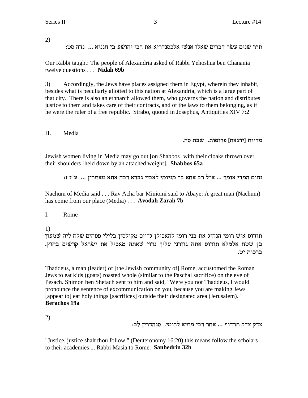2)

: ת״ר שנים עשׂר דברים שאלו אנשי אלכסנדריא את רבי יהושע בן חנניא ... נדה סט

Our Rabbi taught: The people of Alexandria asked of Rabbi Yehoshua ben Chanania twelve questions . . . **Nidah 69b**

3) Accordingly, the Jews have places assigned them in Egypt, wherein they inhabit, besides what is peculiarly allotted to this nation at Alexandria, which is a large part of that city. There is also an ethnarch allowed them, who governs the nation and distributes justice to them and takes care of their contracts, and of the laws to them belonging, as if he were the ruler of a free republic. Strabo, quoted in Josephus, Antiquities XIV 7:2

H. Media

מדיות [יוצאת] פרופות. שבת סה.

Jewish women living in Media may go out [on Shabbos] with their cloaks thrown over their shoulders [held down by an attached weight]. **Shabbos 65a**

:<br/> נחום המדי אומר ... א"ל רב אחא בר מניומי לאביי גברא רבה אתא מאתרין ... <br/>  $\mathbbm{v}$ 

Nachum of Media said . . . Rav Acha bar Miniomi said to Abaye: A great man (Nachum) has come from our place (Media) . . . **Avodah Zarah 7b**

I. Rome

1)

תודוס איש רומי הנהיג את בני רומי להאכילן גדיים מקולסין בלילי פסחים שלח ליה שמעון בן שטח אלמלא תודוס אתה גוזרני עליך נדוי שאתה מאכיל את ישראל קדשים בחוץ. ברכות יט.

Thaddeus, a man (leader) of [the Jewish community of] Rome, accustomed the Roman Jews to eat kids (goats) roasted whole (similar to the Paschal sacrifice) on the eve of Pesach. Shimon ben Shetach sent to him and said, "Were you not Thaddeus, I would pronounce the sentence of excommunication on you, because you are making Jews [appear to] eat holy things [sacrifices] outside their designated area (Jerusalem)." **Berachos 19a**

2)

: צדק צדק תרדוף ... אחר רבי מתיא לרומי. סנהדריז לב

"Justice, justice shalt thou follow." (Deuteronomy 16:20) this means follow the scholars to their academies ... Rabbi Masia to Rome. **Sanhedrin 32b**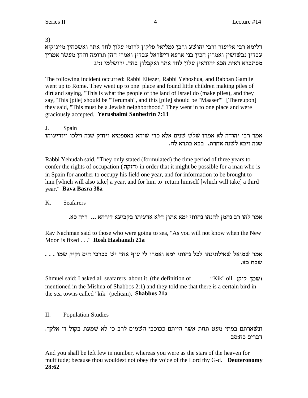$3)$ 

דלימא רבי אליעזר ורבי יהושע ורבן גמליאל סלקון לרומי עלון לחד אתר ואשכחין מיינוקיא עבדין נבשושין ואמרין הכין בני ארעא דישראל עבדין ואמרי ההן תרומה וההן מעשר אמרין מסתברא דאית הכא יהודאין עלון לחד אתר ואקבלון בחד. ירושלמי ז:יג

The following incident occurred: Rabbi Eliezer, Rabbi Yehoshua, and Rabban Gamliel went up to Rome. They went up to one place and found little children making piles of dirt and saying, "This is what the people of the land of Israel do (make piles), and they say, 'This [pile] should be "Terumah", and this [pile] should be "Maaser"" [Thereupon] they said, "This must be a Jewish neighborhood." They went in to one place and were graciously accepted. Yerushalmi Sanhedrin 7:13

J. Spain אמר רבי יהודה לא אמרו שלש שנים אלא כדי שיהא באספמיא ויחזק שנה וילכו ויודיעוהו שנה ויבא לשנה אחרת. בבא בתרא לח.

Rabbi Yehudah said, "They only stated (formulated) the time period of three years to confer the rights of occupation (חזקה) in order that it might be possible for a man who is in Spain for another to occupy his field one year, and for information to be brought to him [which will also take] a year, and for him to return himself [which will take] a third year." Bava Basra 38a

#### $\mathbf{K}$ **Seafarers**

אמר להו רב נחמן להנהו נחותי ימא אתון דלא אדעיתו בקביעא דירחא ... ר"ה כא.

Ray Nachman said to those who were going to sea, "As you will not know when the New Moon is fixed . . . " Rosh Hashanah 21a

. . . אמר שמואל שאילתינהו לכל נחותי ימא ואמרו לי עוף אחד יש בכרכי הים וקיק שמו שׁבת כא.

Shmuel said: I asked all seafarers about it, (the definition of "Kik" oil (שמן קיק) mentioned in the Mishna of Shabbos 2:1) and they told me that there is a certain bird in the sea towns called "kik" (pelican). **Shabbos 21a** 

II. **Population Studies** 

ונשארתם במתי מעט תחת אשר הייתם ככוכבי השמים לרב כי לא שמעת בקול ד' אלקך. דברים כח:סב

And you shall be left few in number, whereas you were as the stars of the heaven for multitude; because thou wouldest not obey the voice of the Lord thy G-d. Deuteronomy 28:62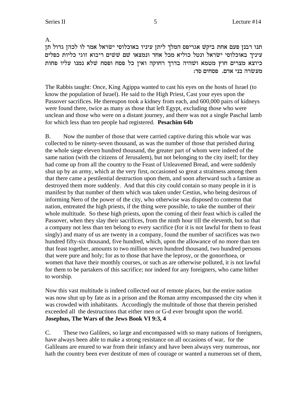A.

תנו רבנן פעם אחת ביקש אגריפס המלך ליתן עיניו באוכלוסי ישראל אמר לו לכהן גדול תן עיניך באוכלוסי ישׂראל ונטל כוליא מכל אחד ונמצאו שם ששים ריבוא זוגי כליות כפלים כיוצא מצרים חוץ מטמא ושהיה בדרך רחוקה ואין כל פסח ופסח שלא נמנו עליו פחות מעשרה בני אדם. פסחים סד:

The Rabbis taught: Once, King Agippa wanted to cast his eyes on the hosts of Israel (to know the population of Israel). He said to the High Priest, Cast your eyes upon the Passover sacrifices. He thereupon took a kidney from each, and 600,000 pairs of kidneys were found there, twice as many as those that left Egypt, excluding those who were unclean and those who were on a distant journey, and there was not a single Paschal lamb for which less than ten people had registered. **Pesachim 64b**

B. Now the number of those that were carried captive during this whole war was collected to be ninety-seven thousand, as was the number of those that perished during the whole siege eleven hundred thousand, the greater part of whom were indeed of the same nation (with the citizens of Jerusalem), but not belonging to the city itself; for they had come up from all the country to the Feast of Unleavened Bread, and were suddenly shut up by an army, which at the very first, occasioned so great a straitness among them that there came a pestilential destruction upon them, and soon afterward such a famine as destroyed them more suddenly. And that this city could contain so many people in it is manifest by that number of them which was taken under Cestius, who being desirous of informing Nero of the power of the city, who otherwise was disposed to contemn that nation, entreated the high priests, if the thing were possible, to take the number of their whole multitude. So these high priests, upon the coming of their feast which is called the Passover, when they slay their sacrifices, from the ninth hour till the eleventh, but so that a company not less than ten belong to every sacrifice (for it is not lawful for them to feast singly) and many of us are twenty in a company, found the number of sacrifices was two hundred fifty-six thousand, five hundred, which, upon the allowance of no more than ten that feast together, amounts to two million seven hundred thousand, two hundred persons that were pure and holy; for as to those that have the leprosy, or the gonorrhoea, or women that have their monthly courses, or such as are otherwise polluted, it is not lawful for them to be partakers of this sacrifice; nor indeed for any foreigners, who came hither to worship.

Now this vast multitude is indeed collected out of remote places, but the entire nation was now shut up by fate as in a prison and the Roman army encompassed the city when it was crowded with inhabitants. Accordingly the multitude of those that therein perished exceeded all the destructions that either men or G-d ever brought upon the world. **Josephus, The Wars of the Jews Book VI 9:3, 4**

C. These two Galilees, so large and encompassed with so many nations of foreigners, have always been able to make a strong resistance on all occasions of war, for the Galileans are enured to war from their infancy and have been always very numerous, nor hath the country been ever destitute of men of courage or wanted a numerous set of them,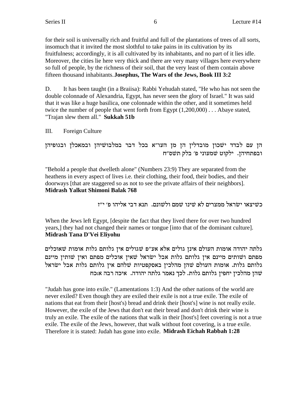for their soil is universally rich and fruitful and full of the plantations of trees of all sorts, insomuch that it invited the most slothful to take pains in its cultivation by its fruitfulness; accordingly, it is all cultivated by its inhabitants, and no part of it lies idle. Moreover, the cities lie here very thick and there are very many villages here everywhere so full of people, by the richness of their soil, that the very least of them contain above fifteen thousand inhabitants. Josephus, The Wars of the Jews, Book III 3:2

D. It has been taught (in a Braiisa): Rabbi Yehudah stated, "He who has not seen the double colonnade of Alexandria, Egypt, has never seen the glory of Israel." It was said that it was like a huge basilica, one colonnade within the other, and it sometimes held twice the number of people that went forth from Egypt  $(1,200,000)$ ... Abaye stated, "Trajan slew them all." Sukkah 51b

III. Foreign Culture

הן עם לבדד ישכון מובדלין הן מן העו"א בכל דבר במלבושיהן ובמאכלן ובגופיהן ובפתחיהן. ילקוט שמעוני פ' בלק תשס"ח

"Behold a people that dwelleth alone" (Numbers 23:9) They are separated from the heathens in every aspect of lives i.e. their clothing, their food, their bodies, and their doorways [that are staggered so as not to see the private affairs of their neighbors]. Midrash Yalkut Shimoni Balak 768

כשיצאו ישראל ממצרים לא שינו שמם ולשונם. תנא דבי אליהו פ׳ י״ז

When the Jews left Egypt, [despite the fact that they lived there for over two hundred years,] they had not changed their names or tongue [into that of the dominant culture]. Midrash Tana D'Vei Eliyohu

גלתה יהודה אומות העולם אינן גולים אלא אע״פ שגולים אין גלותם גלות אומות שאוכלים מפתם ושותים מיינם אין גלותם גלות אבל ישראל שאין אוכלים מפתם ואין שותין מיינם גלותם גלות. אומות העולם שהן מהלכין באסקפטיות שלהם אין גלותם גלות אבל ישראל שהן מהלכין יחפין גלותם גלות. לכך נאמר גלתה יהודה. איכה רבה א:כח

"Judah has gone into exile." (Lamentations 1:3) And the other nations of the world are never exiled? Even though they are exiled their exile is not a true exile. The exile of nations that eat from their [host's] bread and drink their [host's] wine is not really exile. However, the exile of the Jews that don't eat their bread and don't drink their wine is truly an exile. The exile of the nations that walk in their [host's] feet covering is not a true exile. The exile of the Jews, however, that walk without foot covering, is a true exile. Therefore it is stated: Judah has gone into exile. Midrash Eichah Rabbah 1:28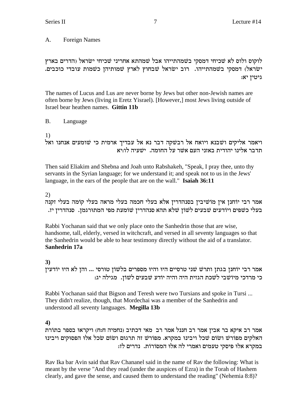# A. Foreign Names

לוקוס ולוס לא שכיחי דמסקי בשמהתייהו אבל שמהתא אחריני שכיחי ישראל (הדרים בארץ ישׂראל) דמסקי בשמהתייהו. רוב ישׂראל שבחוץ לארץ שמותיהן כשמות עובדי כוכבים. :גיטין יא

The names of Lucus and Lus are never borne by Jews but other non-Jewish names are often borne by Jews (living in Eretz Yisrael). [However,] most Jews living outside of Israel bear heathen names. **Gittin 11b**

B. Language

1)

ויאמר אליקים ושבנא ויואח אל רבשקה דבר נא אל עבדיך ארמית כי שומעים אנחנו ואל תדבר אלינו יהודית באזני העם אשר על החומה. ישעיה לו:יא

Then said Eliakim and Shebna and Joah unto Rabshakeh, "Speak, I pray thee, unto thy servants in the Syrian language; for we understand it; and speak not to us in the Jews' language, in the ears of the people that are on the wall." **Isaiah 36:11**

2)

אמר רבי יוֹחנן אין מוֹשׁיבין בסנהדרין אלא בעלי חכמה בעלי מראה בעלי קומה בעלי זקנה .<br>בעלי כשפים ויודעים שבעים לשון שלא תהא סנהדרין שומעת מפי המתורגמן. סנהדרין יז

Rabbi Yochanan said that we only place onto the Sanhedrin those that are wise, handsome, tall, elderly, versed in witchcraft, and versed in all seventy languages so that the Sanhedrin would be able to hear testimony directly without the aid of a translator. **Sanhedrin 17a**

# **3)**

אמר רבי יוֹחנן בגתן ותרשׁ שני טרסיים היו והיו מספרים בלשוֹן טוּרסי ... והן לא היו יוֹדעין : כי מרדכי מיוֹשׁבי לשׁכת הגזית היה והיה יוֹדע שׁבעים לֹשוֹן. מגילה יג

Rabbi Yochanan said that Bigson and Teresh were two Tursians and spoke in Tursi ... They didn't realize, though, that Mordechai was a member of the Sanhedrin and understood all seventy languages. **Megilla 13b**

# **4)**

אמר רב איקא בר אבין אמר רב חננל אמר רב מאי דכתיב (נחמיה ח:ח) ויקראו בספר בתורת האלקים מפוֹרשׁ ושוֹם שׁכל ויבינוּ במקרא. מפוֹרשׁ זה תרגוּם ושׂוֹם שׂכל אלוּ הפסוּקים ויבינוּ : במקרא אלו פיסקי טעמים ואמרי לה אלו המסורות. נדרים לז

Rav Ika bar Avin said that Rav Chananel said in the name of Rav the following: What is meant by the verse "And they read (under the auspices of Ezra) in the Torah of Hashem clearly, and gave the sense, and caused them to understand the reading" (Nehemia 8:8)?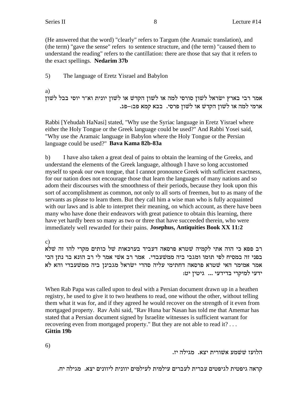(He answered that the word) "clearly" refers to Targum (the Aramaic translation), and (the term) "gave the sense" refers to sentence structure, and (the term) "caused them to understand the reading" refers to the cantillation: there are those that say that it refers to the exact spellings. **Nedarim 37b**

5) The language of Eretz Yisrael and Babylon

a)

אמר רבי בארץ ישראל לשון סורסי למה או לשון הקדש או לשון יונית וא״ר יוסי בבל לשון .bt-מי למה או לשון הקדש או לשון פרסי. בבא קמא פב:

Rabbi [Yehudah HaNasi] stated, "Why use the Syriac language in Eretz Yisrael where either the Holy Tongue or the Greek language could be used?" And Rabbi Yosei said, "Why use the Aramaic language in Babylon where the Holy Tongue or the Persian language could be used?" **Bava Kama 82b-83a**

b) I have also taken a great deal of pains to obtain the learning of the Greeks, and understand the elements of the Greek language, although I have so long accustomed myself to speak our own tongue, that I cannot pronounce Greek with sufficient exactness, for our nation does not encourage those that learn the languages of many nations and so adorn their discourses with the smoothness of their periods, because they look upon this sort of accomplishment as common, not only to all sorts of freemen, but to as many of the servants as please to learn them. But they call him a wise man who is fully acquainted with our laws and is able to interpret their meaning, on which account, as there have been many who have done their endeavors with great patience to obtain this learning, there have yet hardly been so many as two or three that have succeeded therein, who were immediately well rewarded for their pains. **Josephus, Antiquities Book XX 11:2**

c)

רב פפא כי הוה אתי לקמיה שטרא פרסאה דעביד בערכאות של כותים מקרי להו זה שלא בפני זה במסיח לפי תומו ומגבי ביה ממשעבדי. אמר רב אשי אמר לי רב הונא בר נתן הכי אמר אמימר האי שטרא פרסאה דחתימי עליה סהדי ישראל מגבינן ביה ממשעבדי והא לא :ידעי למיקרי בדידעי ... גיטין יט

When Rab Papa was called upon to deal with a Persian document drawn up in a heathen registry, he used to give it to two heathens to read, one without the other, without telling them what it was for, and if they agreed he would recover on the strength of it even from mortgaged property. Rav Ashi said, "Rav Huna bar Nasan has told me that Amemar has stated that a Persian document signed by Israelite witnesses is sufficient warrant for recovering even from mortgaged property." But they are not able to read it? . . . **Gittin 19b**

6)

.<br>הלועז ששמע אשורית יצא. מגילה יז

.קראה גיפטית לגיפטים עברית לעברים עילמית לעילמים יוונית ליוונים יצא. מגילה יח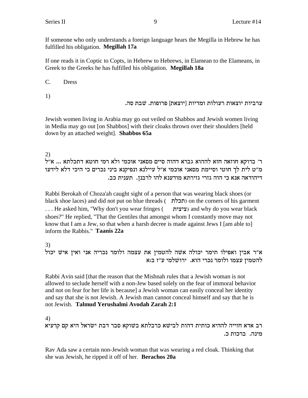If someone who only understands a foreign language hears the Megilla in Hebrew he has fulfilled his obligation. Megillah 17a

If one reads it in Coptic to Copts, in Hebrew to Hebrews, in Elamean to the Elameans, in Greek to the Greeks he has fulfilled his obligation. Megillah 18a

 $C_{\cdot}$ **Dress** 

 $1)$ 

ערביות יוצאות רעולות ומדיות [יוצאת] פרופות. שבת סה.

Jewish women living in Arabia may go out veiled on Shabbos and Jewish women living in Media may go out [on Shabbos] with their cloaks thrown over their shoulders [held down by an attached weight]. Shabbos 65a

2)

ר' ברוקא חוזאה חזא לההוא גברא דהוה סיים מסאני אוכמי ולא רמי חוטא דתכלתא ... א"ל מ"ט לית לך חוטי וסיימת מסאני אוכמי א"ל עיילנא ונפיקנא ביני נכרים כי היכי דלא לידעו דיהודאה אנא כי הוה גזרי גזירתא מודענא להו לרבנן. תענית כב.

Rabbi Berokah of Choza'ah caught sight of a person that was wearing black shoes (or black shoe laces) and did not put on blue threads ( תכלת) on the corners of his garment ... He asked him, "Why don't you wear fringes ( ציצית) and why do you wear black shoes?" He replied, "That the Gentiles that amongst whom I constantly move may not know that I am a Jew, so that when a harsh decree is made against Jews I [am able to] inform the Rabbis." Taanis 22a

3)

א״ר אבין ואפילו תימר יכולה אשה להטמין את עצמה ולומר נכריה אני ואין איש יכול להטמין עצמו ולומר נכרי הוא. ירושלמי ע"ז ב:א

Rabbi Avin said [that the reason that the Mishnah rules that a Jewish woman is not allowed to seclude herself with a non-Jew based solely on the fear of immoral behavior and not on fear for her life is because] a Jewish woman can easily conceal her identity and say that she is not Jewish. A Jewish man cannot conceal himself and say that he is not Jewish. Talmud Yerushalmi Avodah Zarah 2:1

4)

רב אדא חזייה לההיא כותית דהות לבישא כרבלתא בשוקא סבר דבת ישראל היא קם קרעיא מינה. ברכות כ.

Rav Ada saw a certain non-Jewish woman that was wearing a red cloak. Thinking that she was Jewish, he ripped it off of her. Berachos 20a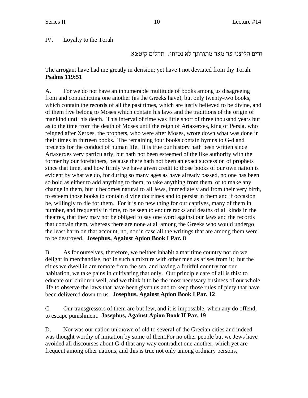IV. Loyalty to the Torah

זדים הליצני עד מאד מתורתך לא נטיתי. תהלים קיט:נא

The arrogant have had me greatly in derision; yet have I not deviated from thy Torah. **Psalms 119:51**

A. For we do not have an innumerable multitude of books among us disagreeing from and contradicting one another (as the Greeks have), but only twenty-two books, which contain the records of all the past times, which are justly believed to be divine, and of them five belong to Moses which contain his laws and the traditions of the origin of mankind until his death. This interval of time was little short of three thousand years but as to the time from the death of Moses until the reign of Artaxerxes, king of Persia, who reigned after Xerxes, the prophets, who were after Moses, wrote down what was done in their times in thirteen books. The remaining four books contain hymns to G-d and precepts for the conduct of human life. It is true our history hath been written since Artaxerxes very particularly, but hath not been esteemed of the like authority with the former by our forefathers, because there hath not been an exact succession of prophets since that time, and how firmly we have given credit to those books of our own nation is evident by what we do, for during so many ages as have already passed, no one has been so bold as either to add anything to them, to take anything from them, or to make any change in them, but it becomes natural to all Jews, immediately and from their very birth, to esteem those books to contain divine doctrines and to persist in them and if occasion be, willingly to die for them. For it is no new thing for our captives, many of them in number, and frequently in time, to be seen to endure racks and deaths of all kinds in the theatres, that they may not be obliged to say one word against our laws and the records that contain them, whereas there are none at all among the Greeks who would undergo the least harm on that account, no, nor in case all the writings that are among them were to be destroyed. **Josephus, Against Apion Book I Par. 8**

B. As for ourselves, therefore, we neither inhabit a maritime country nor do we delight in merchandise, nor in such a mixture with other men as arises from it; but the cities we dwell in are remote from the sea, and having a fruitful country for our habitation, we take pains in cultivating that only. Our principle care of all is this: to educate our children well, and we think it to be the most necessary business of our whole life to observe the laws that have been given us and to keep those rules of piety that have been delivered down to us. **Josephus, Against Apion Book I Par. 12**

C. Our transgressors of them are but few, and it is impossible, when any do offend, to escape punishment. **Josephus, Against Apion Book II Par. 19**

D. Nor was our nation unknown of old to several of the Grecian cities and indeed was thought worthy of imitation by some of them.For no other people but we Jews have avoided all discourses about G-d that any way contradict one another, which yet are frequent among other nations, and this is true not only among ordinary persons,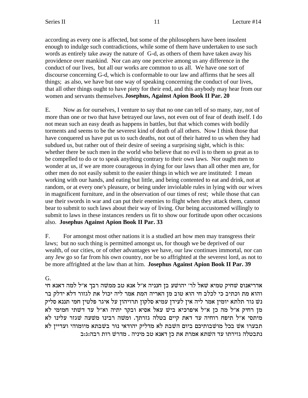according as every one is affected, but some of the philosophers have been insolent enough to indulge such contradictions, while some of them have undertaken to use such words as entirely take away the nature of G-d, as others of them have taken away his providence over mankind. Nor can any one perceive among us any difference in the conduct of our lives, but all our works are common to us all. We have one sort of discourse concerning G-d, which is conformable to our law and affirms that he sees all things; as also, we have but one way of speaking concerning the conduct of our lives, that all other things ought to have piety for their end, and this anybody may hear from our women and servants themselves. **Josephus, Against Apion Book II Par. 20**

E. Now as for ourselves, I venture to say that no one can tell of so many, nay, not of more than one or two that have betrayed our laws, not even out of fear of death itself. I do not mean such an easy death as happens in battles, but that which comes with bodily torments and seems to be the severest kind of death of all others. Now I think those that have conquered us have put us to such deaths, not out of their hatred to us when they had subdued us, but rather out of their desire of seeing a surprising sight, which is this: whether there be such men in the world who believe that no evil is to them so great as to be compelled to do or to speak anything contrary to their own laws. Nor ought men to wonder at us, if we are more courageous in dying for our laws than all other men are, for other men do not easily submit to the easier things in which we are instituted: I mean working with our hands, and eating but little, and being contented to eat and drink, not at random, or at every one's pleasure, or being under inviolable rules in lying with our wives in magnificent furniture, and in the observation of our times of rest; while those that can use their swords in war and can put their enemies to flight when they attack them, cannot bear to submit to such laws about their way of living. Our being accustomed willingly to submit to laws in these instances renders us fit to show our fortitude upon other occasions also. **Josephus Against Apion Book II Par. 33**

F. For amongst most other nations it is a studied art how men may transgress their laws; but no such thing is permitted amongst us, for though we be deprived of our wealth, of our cities, or of other advantages we have, our law continues immortal, nor can any Jew go so far from his own country, nor be so affrighted at the severest lord, as not to be more affrighted at the law than at him. **Josephus Against Apion Book II Par. 39**

G.

אדריאנוס שחיק טמיא שאל לר׳ יהושע בן חנניה א״ל אנא טב ממשה רבך א״ל למה דאנא חי והוא מת וכתיב כי לכלב חי הוא טוב מז האריה המת אמר ליה יכול את לגזור דלא ידלק בר נש נור תלתא יומין אמר ליה אין לעידן עמיא סלקון תרויהון על איגר פלטין חמי תננא סליק מן רחיק א״ל מה כן א״ל איפרכיא ביש עאל אסיא ובקר יתיה וא״ל עד דשתי חמימי לא מיתסי א"ל תיפח רוחיה עד דאת קיים בטלה גזרתך. ומשה רבינו משעה שגזר עלינו לא תבערו אשׁ בכל מושבותיכם ביום השבת לא מדליק יהודאי נוּר בשבתא מיומוהי ועדיין לא  $a$ נתבטלה גזירתו עד השתא אמרת את כן דאנא טב מיניה . מדרש רות רבה:ג:ב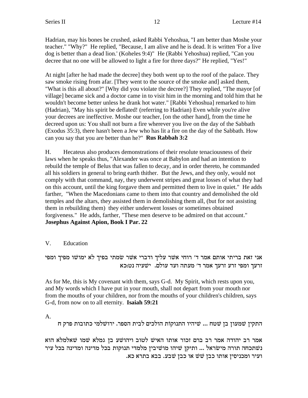Hadrian, may his bones be crushed, asked Rabbi Yehoshua, "I am better than Moshe your teacher." "Why?" He replied, "Because, I am alive and he is dead. It is written 'For a live dog is better than a dead lion.' (Koheles 9:4)" He (Rabbi Yehoshua) replied, "Can you decree that no one will be allowed to light a fire for three days?" He replied, "Yes!"

At night [after he had made the decree] they both went up to the roof of the palace. They saw smoke rising from afar. [They went to the source of the smoke and] asked them, "What is this all about?" [Why did you violate the decree?] They replied, "The mayor [of village] became sick and a doctor came in to visit him in the morning and told him that he wouldn't become better unless he drank hot water." [Rabbi Yehoshua] remarked to him (Hadrian), "May his spirit be deflated! (referring to Hadrian) Even while you're alive your decrees are ineffective. Moshe our teacher, [on the other hand], from the time he decreed upon us: You shall not burn a fire wherever you live on the day of the Sabbath (Exodus 35:3), there hasn't been a Jew who has lit a fire on the day of the Sabbath. How can you say that you are better than he?" **Rus Rabbah 3:2**

H. Hecateus also produces demonstrations of their resolute tenaciousness of their laws when he speaks thus, "Alexander was once at Babylon and had an intention to rebuild the temple of Belus that was fallen to decay, and in order thereto, he commanded all his soldiers in general to bring earth thither. But the Jews, and they only, would not comply with that command, nay, they underwent stripes and great losses of what they had on this account, until the king forgave them and permitted them to live in quiet." He adds farther, "When the Macedonians came to them into that country and demolished the old temples and the altars, they assisted them in demolishing them all, (but for not assisting them in rebuilding them) they either underwent losses or sometimes obtained forgiveness." He adds, farther, "These men deserve to be admired on that account." **Josephus Against Apion, Book I Par. 22**

# V. Education

אני זאת בריתי אותם אמר ד׳ רוחי אשר עליך ודברי אשר שמתי בפיך לא ימושו מפיך ומפי זרעך ומפי זרע זרעך אמר ד׳ מעתה ועד עולם. ישעיה נט:כא

As for Me, this is My covenant with them, says G-d. My Spirit, which rests upon you, and My words which I have put in your mouth, shall not depart from your mouth nor from the mouths of your children, nor from the mouths of your children's children, says G-d, from now on to all eternity. **Isaiah 59:21**

A.

התקין שמעון בן שטח ... שיהיו התנוקות הולכים לבית הספר. ירושלמי כתובות פרק ח

אמר רב יהודה אמר רב ברם זכור אותו האיש לטוב ויהושע בן גמלא שמו שאלמלא הוא נשתכחה תורה מישראל ... ותיקן שיהו מושיבין מלמדי תנוקות בכל מדינה ומדינה בכל עיר . ועיר ומכניסין אותו כבן שׁשׁ או כבן שבע. בבא בתרא כא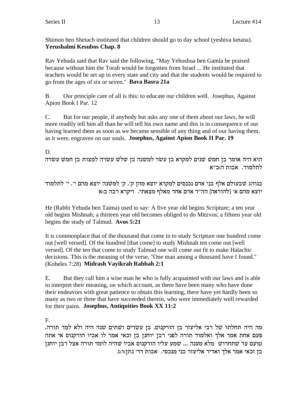Shimon ben Shetach instituted that children should go to day school (yeshiva ketana). **Yerushalmi Kesubos Chap. 8**

Rav Yehuda said that Rav said the following, "May Yehoshua ben Gamla be praised because without him the Torah would be forgotten from Israel ... He instituted that teachers would be set up in every state and city and that the students would be required to go from the ages of six or seven." **Bava Basra 21a**

B. Our principle care of all is this: to educate our children well. Josephus, Against Apion Book I Par. 12

C. But for our people, if anybody but asks any one of them about our laws, he will more readily tell him all than he will tell his own name and this is in consequence of our having learned them as soon as we became sensible of any thing and of our having them, as it were, engraven on our souls. **Josephus, Against Apion Book II Par. 19**

# D.

הוא היה אומר בן חמש שנים למקרא בן עשר למשנה בן שלש עשלה היה אומר משלה לתלמוד. אבות ה:כ"א

בנוהג שבעולם אלף בני אדם נכנסים למקרא יוצא מהן ק׳. ק׳ למשנה יוצא מהם י׳. י׳ לתלמוד יוצא מהם א' [להוראה] הה"ד אדם אחד מאלף מצאתי. ויקרא רבה ב:א

He (Rabbi Yehuda ben Taima) used to say: A five year old begins Scripture; a ten year old begins Mishnah; a thirteen year old becomes obliged to do Mitzvos; a fifteen year old begins the study of Talmud. **Avos 5:21**

It is commonplace that of the thousand that come in to study Scripture one hundred come out [well versed]. Of the hundred [that come] to study Mishnah ten come out [well versed]. Of the ten that come to study Talmud one will come out fit to make Halachic decisions. This is the meaning of the verse, "One man among a thousand have I found." (Koheles 7:28) **Midrash Vayikrah Rabbah 2:1**

E. But they call him a wise man he who is fully acquainted with our laws and is able to interpret their meaning, on which account, as there have been many who have done their endeavors with great patience to obtain this learning, there have yet hardly been so many as two or three that have succeeded therein, who were immediately well rewarded for their pains. **Josephus, Antiquities Book XX 11:2**

F.

. מה היה תחלתו של רבי אליעזר בן הורקנוס. בן עשרים ושתים שנה היה ולא למד תורה פעם אחת אמר אלך ואלמוד תורה לפני רבן יוחנן בן זכאי אמר לו אביו הורקנוס אי אתה סועם עד שתחרוש מלא מענה ... שמע עליו הורקנוס אביו שהיה לומד תורה אצל רבן יוחנן בן זכאי אמר אלך ואדיר אליעזר בני מנכסי. אבות דר׳ נתז:ו:ג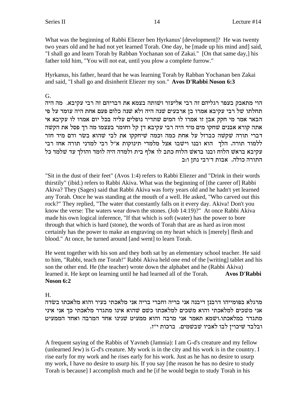What was the beginning of Rabbi Eliezer ben Hyrkanus' [development]? He was twenty two years old and he had not yet learned Torah. One day, he [made up his mind and] said, "I shall go and learn Torah by Rabban Yochanan son of Zakai." [On that same day,] his father told him, "You will not eat, until you plow a complete furrow."

Hyrkanus, his father, heard that he was learning Torah by Rabban Yochanan ben Zakai and said, "I shall go and disinherit Eliezer my son." **Avos D'Rabbi Noson 6:3**

G.

הוי מתאבק בעפר רגליהם זה רבי אליעזר ושׁותה בצמא את דבריהם זה רבי עקיבא. מה היה תחלתו של רבי עקיבא אמרו בן ארבעים שנה היה ולא שנה כלום פעם אחת היה עומד על פי הבאר אמר מי חקק אבן זו אמרו לו המים שתדיר נופלים עליה בכל יום אמרו לו עקיבא אי אתה קורא אבנים שחקו מים מיד היה רבי עקיבא דן קל וחומר בעצמו מה רך פסל את הקשה דברי תורה שקשה כברזל על אחת כמה וכמה שיחקקו את לבי שהוא בשר ודם מיד חזר ללמוד תורה. הלך הוא ובנו וישבו אצל מלמדי תינוקות א"ל רבי למדני תורה אחז רבי עקיבא בראש הלוח ובנו בראש הלוח כתב לו אלף בית ולמדה היה לומד והולך עד שלמד כל התורה כולה. אבות ד׳רבי נתן ו:ב

"Sit in the dust of their feet" (Avos 1:4) refers to Rabbi Eliezer and "Drink in their words thirstily" (ibid.) refers to Rabbi Akiva. What was the beginning of [the career of] Rabbi Akiva? They (Sages) said that Rabbi Akiva was forty years old and he hadn't yet learned any Torah. Once he was standing at the mouth of a well. He asked, "Who carved out this rock?" They replied, "The water that constantly falls on it every day. Akiva! Don't you know the verse: The waters wear down the stones. (Job 14:19)?" At once Rabbi Akiva made his own logical inference, "If that which is soft (water) has the power to bore through that which is hard (stone), the words of Torah that are as hard as iron most certainly has the power to make an engraving on my heart which is [merely] flesh and blood." At once, he turned around [and went] to learn Torah.

He went together with his son and they both sat by an elementary school teacher. He said to him, "Rabbi, teach me Torah!" Rabbi Akiva held one end of the [writing] tablet and his son the other end. He (the teacher) wrote down the alphabet and he (Rabbi Akiva) learned it. He kept on learning until he had learned all of the Torah. **Avos D'Rabbi Noson 6:2**

H.

מרגלא בפומייהו דרבנן דיבנה אני בריה וחברי בריה אני מלאכתי בעיר והוא מלאכתו בשדה אני משכים למלאכתי והוא משכים למלאכתו כשם שהוא אינו מתגדר מלאכתי כך אני איני מתגדר במלאכתו.ושמא תאמר אני מרבה והוא ממעיט שנינו אחד המרבה ואחד הממעיט . ובלבד שיכוין לבו לאביו שבשמים. ברכות י"ז

A frequent saying of the Rabbis of Yavneh (Jamnia): I am G-d's creature and my fellow (unlearned Jew) is G-d's creature. My work is in the city and his work is in the country. I rise early for my work and he rises early for his work. Just as he has no desire to usurp my work, I have no desire to usurp his. If you say [the reason he has no desire to study Torah is because] I accomplish much and he [if he would begin to study Torah in his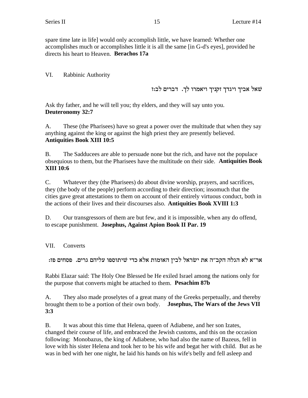spare time late in life] would only accomplish little, we have learned: Whether one accomplishes much or accomplishes little it is all the same [in G-d's eyes], provided he directs his heart to Heaven. **Berachos 17a**

VI. Rabbinic Authority

 $i$ יברים לב:ז ברים שאל הביך ניגדך וקניך ויגדן  $\psi$ 

Ask thy father, and he will tell you; thy elders, and they will say unto you. **Deuteronomy 32:7**

A. These (the Pharisees) have so great a power over the multitude that when they say anything against the king or against the high priest they are presently believed. **Antiquities Book XIII 10:5**

B. The Sadducees are able to persuade none but the rich, and have not the populace obsequious to them, but the Pharisees have the multitude on their side. **Antiquities Book XIII 10:6**

C. Whatever they (the Pharisees) do about divine worship, prayers, and sacrifices, they (the body of the people) perform according to their direction; insomuch that the cities gave great attestations to them on account of their entirely virtuous conduct, both in the actions of their lives and their discourses also. **Antiquities Book XVIII 1:3**

D. Our transgressors of them are but few, and it is impossible, when any do offend, to escape punishment. **Josephus, Against Apion Book II Par. 19**

VII. Converts

:אר״א לא הגלה הקב״ה את ישׂראל לבין האומות אלא כדי שיתוספו עליהם גרים. פסחים פז

Rabbi Elazar said: The Holy One Blessed be He exiled Israel among the nations only for the purpose that converts might be attached to them. **Pesachim 87b**

A. They also made proselytes of a great many of the Greeks perpetually, and thereby brought them to be a portion of their own body. **Josephus, The Wars of the Jews VII 3:3**

B. It was about this time that Helena, queen of Adiabene, and her son Izates, changed their course of life, and embraced the Jewish customs, and this on the occasion following: Monobazus, the king of Adiabene, who had also the name of Bazeus, fell in love with his sister Helena and took her to be his wife and begat her with child. But as he was in bed with her one night, he laid his hands on his wife's belly and fell asleep and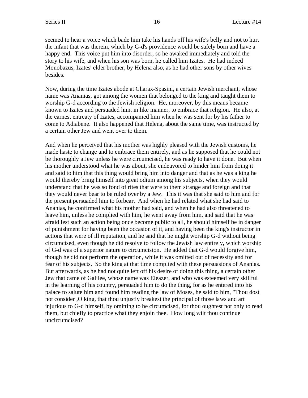seemed to hear a voice which bade him take his hands off his wife's belly and not to hurt the infant that was therein, which by G-d's providence would be safely born and have a happy end. This voice put him into disorder, so he awaked immediately and told the story to his wife, and when his son was born, he called him Izates. He had indeed Monobazus, Izates' elder brother, by Helena also, as he had other sons by other wives besides.

Now, during the time Izates abode at Charax-Spasini, a certain Jewish merchant, whose name was Ananias, got among the women that belonged to the king and taught them to worship G-d according to the Jewish religion. He, moreover, by this means became known to Izates and persuaded him, in like manner, to embrace that religion. He also, at the earnest entreaty of Izates, accompanied him when he was sent for by his father to come to Adiabene. It also happened that Helena, about the same time, was instructed by a certain other Jew and went over to them.

And when he perceived that his mother was highly pleased with the Jewish customs, he made haste to change and to embrace them entirely, and as he supposed that he could not be thoroughly a Jew unless he were circumcised, he was ready to have it done. But when his mother understood what he was about, she endeavored to hinder him from doing it and said to him that this thing would bring him into danger and that as he was a king he would thereby bring himself into great odium among his subjects, when they would understand that he was so fond of rites that were to them strange and foreign and that they would never bear to be ruled over by a Jew. This it was that she said to him and for the present persuaded him to forbear. And when he had related what she had said to Ananias, he confirmed what his mother had said, and when he had also threatened to leave him, unless he complied with him, he went away from him, and said that he was afraid lest such an action being once become public to all, he should himself be in danger of punishment for having been the occasion of it, and having been the king's instructor in actions that were of ill reputation, and he said that he might worship G-d without being circumcised, even though he did resolve to follow the Jewish law entirely, which worship of G-d was of a superior nature to circumcision. He added that G-d would forgive him, though he did not perform the operation, while it was omitted out of necessity and for fear of his subjects. So the king at that time complied with these persuasions of Ananias. But afterwards, as he had not quite left off his desire of doing this thing, a certain other Jew that came of Galilee, whose name was Eleazer, and who was esteemed very skillful in the learning of his country, persuaded him to do the thing, for as he entered into his palace to salute him and found him reading the law of Moses, he said to him, "Thou dost not consider ,O king, that thou unjustly breakest the principal of those laws and art injurious to G-d himself, by omitting to be circumcised, for thou oughtest not only to read them, but chiefly to practice what they enjoin thee. How long wilt thou continue uncircumcised?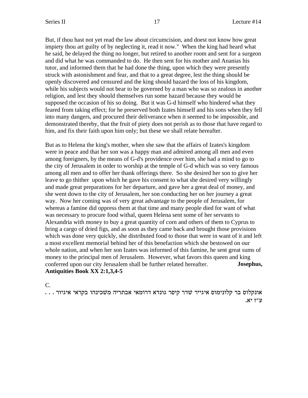But, if thou hast not yet read the law about circumcision, and doest not know how great impiety thou art guilty of by neglecting it, read it now." When the king had heard what he said, he delayed the thing no longer, but retired to another room and sent for a surgeon and did what he was commanded to do. He then sent for his mother and Ananias his tutor, and informed them that he had done the thing, upon which they were presently struck with astonishment and fear, and that to a great degree, lest the thing should be openly discovered and censured and the king should hazard the loss of his kingdom, while his subjects would not bear to be governed by a man who was so zealous in another religion, and lest they should themselves run some hazard because they would be supposed the occasion of his so doing. But it was G-d himself who hindered what they feared from taking effect; for he preserved both Izates himself and his sons when they fell into many dangers, and procured their deliverance when it seemed to be impossible, and demonstrated thereby, that the fruit of piety does not perish as to those that have regard to him, and fix their faith upon him only; but these we shall relate hereafter.

But as to Helena the king's mother, when she saw that the affairs of Izates's kingdom were in peace and that her son was a happy man and admired among all men and even among foreigners, by the means of G-d's providence over him, she had a mind to go to the city of Jerusalem in order to worship at the temple of G-d which was so very famous among all men and to offer her thank offerings there. So she desired her son to give her leave to go thither upon which he gave his consent to what she desired very willingly and made great preparations for her departure, and gave her a great deal of money, and she went down to the city of Jerusalem, her son conducting her on her journey a great way. Now her coming was of very great advantage to the people of Jerusalem, for whereas a famine did oppress them at that time and many people died for want of what was necessary to procure food withal, queen Helena sent some of her servants to Alexandria with money to buy a great quantity of corn and others of them to Cyprus to bring a cargo of dried figs, and as soon as they came back and brought those provisions which was done very quickly, she distributed food to those that were in want of it and left a most excellent memorial behind her of this benefaction which she bestowed on our whole nation, and when her son Izates was informed of this famine, he sent great sums of money to the principal men of Jerusalem. However, what favors this queen and king conferred upon our city Jerusalem shall be further related hereafter. **Josephus, Antiquities Book XX 2:1,3,4-5**

C. . . . אונקלוס בר קלונימוס איגייר שדר קיסר גונדא דרומאי אבתריה משכינהו בקראי איגיור .נ"ז  $'$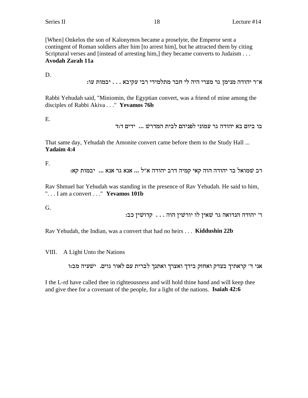[When] Onkelos the son of Kalonymos became a proselyte, the Emperor sent a contingent of Roman soldiers after him [to arrest him], but he attracted them by citing Scriptural verses and [instead of arresting him,] they became converts to Judaism . . . Avodah Zarah 11a

D.

```
א״ר יהודה מנימן גר מצרי היה לי חבר מתלמידי רבי עקיבא . . . יבמות עו:
```
Rabbi Yehudah said, "Miniomin, the Egyptian convert, was a friend of mine among the disciples of Rabbi Akiva ..." Yevamos 76b

E.

בו ביום בא יהודה גר עמוני לפניהם לבית המדרש ... ידים ד:ד

That same day, Yehudah the Amonite convert came before them to the Study Hall ... **Yadaim 4:4** 

F.

רב שמואל בר יהודה הוה קאי קמיה דרב יהודה א"ל ... אנא גר אנא ... יבמות קא:

Rav Shmuel bar Yehudah was standing in the presence of Rav Yehudah. He said to him, "... I am a convert ..." Yevamos 101b

G.

ר' יהודה הנדואה גר שאין לו יורשין הוה . . . קדושין כב:

Rav Yehudah, the Indian, was a convert that had no heirs . . . Kiddushin 22b

VIII. A Light Unto the Nations

אני ד׳ קראתיך בצדק ואחזק בידך ואצרך ואתנך לברית עם לאור גוים. ישעיה מב:ו

I the L-rd have called thee in righteousness and will hold thine hand and will keep thee and give thee for a covenant of the people, for a light of the nations. Isaiah 42:6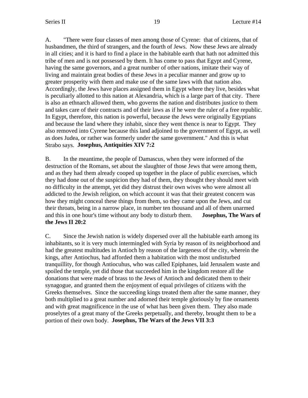A. "There were four classes of men among those of Cyrene: that of citizens, that of husbandmen, the third of strangers, and the fourth of Jews. Now these Jews are already in all cities; and it is hard to find a place in the habitable earth that hath not admitted this tribe of men and is not possessed by them. It has come to pass that Egypt and Cyrene, having the same governors, and a great number of other nations, imitate their way of living and maintain great bodies of these Jews in a peculiar manner and grow up to greater prosperity with them and make use of the same laws with that nation also. Accordingly, the Jews have places assigned them in Egypt where they live, besides what is peculiarly allotted to this nation at Alexandria, which is a large part of that city. There is also an ethnarch allowed them, who governs the nation and distributes justice to them and takes care of their contracts and of their laws as if he were the ruler of a free republic. In Egypt, therefore, this nation is powerful, because the Jews were originally Egyptians and because the land where they inhabit, since they went thence is near to Egypt. They also removed into Cyrene because this land adjoined to the government of Egypt, as well as does Judea, or rather was formerly under the same government." And this is what Strabo says. **Josephus, Antiquities XIV 7:2**

B. In the meantime, the people of Damascus, when they were informed of the destruction of the Romans, set about the slaughter of those Jews that were among them, and as they had them already cooped up together in the place of public exercises, which they had done out of the suspicion they had of them, they thought they should meet with no difficulty in the attempt, yet did they distrust their own wives who were almost all addicted to the Jewish religion, on which account it was that their greatest concern was how they might conceal these things from them, so they came upon the Jews, and cut their throats, being in a narrow place, in number ten thousand and all of them unarmed and this in one hour's time without any body to disturb them. **Josephus, The Wars of the Jews II 20:2**

C. Since the Jewish nation is widely dispersed over all the habitable earth among its inhabitants, so it is very much intermingled with Syria by reason of its neighborhood and had the greatest multitudes in Antioch by reason of the largeness of the city, wherein the kings, after Antiochus, had afforded them a habitation with the most undisturbed tranquillity, for though Antiocuhus, who was called Epiphanes, laid Jerusalem waste and spoiled the temple, yet did those that succeeded him in the kingdom restore all the donations that were made of brass to the Jews of Antioch and dedicated them to their synagogue, and granted them the enjoyment of equal privileges of citizens with the Greeks themselves. Since the succeeding kings treated them after the same manner, they both multiplied to a great number and adorned their temple gloriously by fine ornaments and with great magnificence in the use of what has been given them. They also made proselytes of a great many of the Greeks perpetually, and thereby, brought them to be a portion of their own body. **Josephus, The Wars of the Jews VII 3:3**